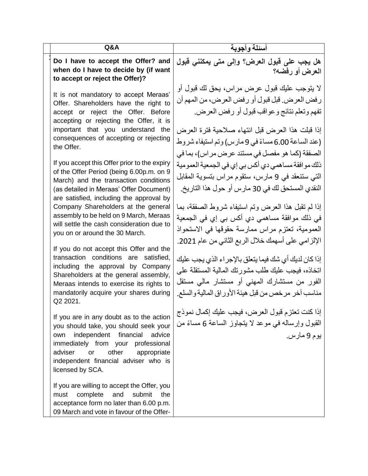| Q&A                                                                                                                                                                                                                                                                                                                                                                                                                                                                                                                                                                                                                                                                                                                                                                                                                                                                                                                          | أسئلة وأجوبة                                                                                                                                                                                                                                                                                                                                                                                                                                                                                                                                                                                                                                                                                                                                                                                                                                                                                                                                               |
|------------------------------------------------------------------------------------------------------------------------------------------------------------------------------------------------------------------------------------------------------------------------------------------------------------------------------------------------------------------------------------------------------------------------------------------------------------------------------------------------------------------------------------------------------------------------------------------------------------------------------------------------------------------------------------------------------------------------------------------------------------------------------------------------------------------------------------------------------------------------------------------------------------------------------|------------------------------------------------------------------------------------------------------------------------------------------------------------------------------------------------------------------------------------------------------------------------------------------------------------------------------------------------------------------------------------------------------------------------------------------------------------------------------------------------------------------------------------------------------------------------------------------------------------------------------------------------------------------------------------------------------------------------------------------------------------------------------------------------------------------------------------------------------------------------------------------------------------------------------------------------------------|
| Do I have to accept the Offer? and<br>when do I have to decide by (if want<br>to accept or reject the Offer)?                                                                                                                                                                                                                                                                                                                                                                                                                                                                                                                                                                                                                                                                                                                                                                                                                | هل يجب على قبول العرض؟ وإلى متى يمكنني قبول<br>العرض أو رفضه؟                                                                                                                                                                                                                                                                                                                                                                                                                                                                                                                                                                                                                                                                                                                                                                                                                                                                                              |
| It is not mandatory to accept Meraas'<br>Offer. Shareholders have the right to<br>accept or reject the Offer. Before<br>accepting or rejecting the Offer, it is<br>important that you understand the<br>consequences of accepting or rejecting<br>the Offer.<br>If you accept this Offer prior to the expiry<br>of the Offer Period (being 6.00p.m. on 9<br>March) and the transaction conditions<br>(as detailed in Meraas' Offer Document)<br>are satisfied, including the approval by<br>Company Shareholders at the general<br>assembly to be held on 9 March, Meraas<br>will settle the cash consideration due to<br>you on or around the 30 March.<br>If you do not accept this Offer and the<br>transaction conditions are satisfied,<br>including the approval by Company<br>Shareholders at the general assembly,<br>Meraas intends to exercise its rights to<br>mandatorily acquire your shares during<br>Q2 2021. | لا يتوجب عليك قبول عرض مراس، يحق لك قبول أو<br>رفض العرض. قبل قبول أو رفض العرض، من المهم أن<br>تفهم وتعلم نتائج وعواقب قبول أو رفض العرض.<br>إذا قبلت هذا العرض قبل انتهاء صلاحية فترة العرض<br>(عند الساعة 6.00 مساءً في 9 مارس) وتم استيفاء شروط<br>الصفقة (كما هو مفصل في مستند عرض مر اس)، بما في<br>ذلك مو افقة مساهمي دي أكس بي إي في الجمعية العمو مية<br>التي ستنعقد في 9 مارس، ستقوم مراس بتسوية المقابل<br>النقدي المستحق لك في 30 مارس أو حول هذا التاريخ.<br>إذا لم تقبل هذا العرض وتم استيفاء شروط الصفقة، بما<br>في ذلك موافقة مساهمي دي أكس بي إي في الجمعية<br>العمومية، تعتزم مراس ممارسة حقوقها في الاستحواذ<br>الإلزامي على أسهمك خلال الربع الثاني من عام 2021.<br>إذا كان لديك أي شك فيما يتعلق بالإجراء الذي يجب عليك<br>اتخاذه، فيجب عليك طلب مشورتك المالية المستقلة على<br>الفور من مستشارك المهني أو مستشار مالي مستقل<br>مناسب أخر مرخص من قبل هيئة الأوراق المالية والسلع.<br>إذا كنت تعتزم قبول العرض، فيجب عليك إكمال نموذج |
| If you are in any doubt as to the action<br>you should take, you should seek your<br>independent<br>financial<br>advice<br>own<br>professional<br>immediately from your<br>adviser<br>other<br>or<br>appropriate<br>independent financial adviser who is<br>licensed by SCA.                                                                                                                                                                                                                                                                                                                                                                                                                                                                                                                                                                                                                                                 | القبول وإرساله في موعد لا يتجاوز الساعة 6 مساءً من<br>بوم 9 مارس.                                                                                                                                                                                                                                                                                                                                                                                                                                                                                                                                                                                                                                                                                                                                                                                                                                                                                          |
| If you are willing to accept the Offer, you<br>complete<br>and<br>submit<br>the<br>must<br>acceptance form no later than 6.00 p.m.<br>09 March and vote in favour of the Offer-                                                                                                                                                                                                                                                                                                                                                                                                                                                                                                                                                                                                                                                                                                                                              |                                                                                                                                                                                                                                                                                                                                                                                                                                                                                                                                                                                                                                                                                                                                                                                                                                                                                                                                                            |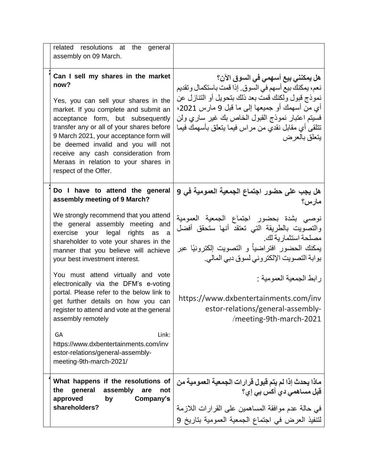| related resolutions at the<br>general<br>assembly on 09 March.                                                                                                                                                                                                                                                                                                                                         |                                                                                                                                                                                                                                                                                                                            |
|--------------------------------------------------------------------------------------------------------------------------------------------------------------------------------------------------------------------------------------------------------------------------------------------------------------------------------------------------------------------------------------------------------|----------------------------------------------------------------------------------------------------------------------------------------------------------------------------------------------------------------------------------------------------------------------------------------------------------------------------|
| Can I sell my shares in the market<br>now?<br>Yes, you can sell your shares in the<br>market. If you complete and submit an<br>acceptance form, but subsequently<br>transfer any or all of your shares before<br>9 March 2021, your acceptance form will<br>be deemed invalid and you will not<br>receive any cash consideration from<br>Meraas in relation to your shares in<br>respect of the Offer. | هل يمكنني بيع أسهمي في السوق الآن؟<br>نعم، يمكنك بيع أسهم في السوق. إذا قمت باستكمال وتقديم<br>نموذج قبول ولكنك قمت بعد ذلك بتحويل أو التنازل عن<br>أي من أسهمك أو جميعها إلى ما قبل 9 مارس 2021،<br>فسيتم اعتبار نموذج القبول الخاص بك غير ساري ولن<br>تتلقى أي مقابل نقدي من مراس فيما يتعلق بأسهمك فيما<br>يتعلق بالعرض |
| Do I have to attend the general<br>assembly meeting of 9 March?                                                                                                                                                                                                                                                                                                                                        | هل يجب عل <i>ى</i> حضور اجتماع الجمعية العمومية في 9<br>مارس؟                                                                                                                                                                                                                                                              |
| We strongly recommend that you attend<br>the general assembly meeting and<br>exercise your legal rights as a<br>shareholder to vote your shares in the<br>manner that you believe will achieve<br>your best investment interest.                                                                                                                                                                       | نوصبي بشدة بحضور اجتماع الجمعية العمومية<br>والتصـّويت بـالطريقة التي تعتقد أنـها ستحقق أفضل<br>مصلحة استثمارية لك<br>مصلحة استثمار بة لك<br>يمكنك الحضور افتراضياً و التصويت إلكترونيًا عبر<br>بوابة التصويت الإلكتروني لسوق دبي المالي.                                                                                  |
| You must attend virtually and vote<br>electronically via the DFM's e-voting<br>portal. Please refer to the below link to<br>get further details on how you can<br>register to attend and vote at the general<br>assembly remotely                                                                                                                                                                      | ر ابط الجمعية العمومية :<br>https://www.dxbentertainments.com/inv<br>estor-relations/general-assembly-<br>/meeting-9th-march-2021                                                                                                                                                                                          |
| Link:<br>GA<br>https://www.dxbentertainments.com/inv<br>estor-relations/general-assembly-<br>meeting-9th-march-2021/                                                                                                                                                                                                                                                                                   |                                                                                                                                                                                                                                                                                                                            |
| What happens if the resolutions of<br>the<br>general<br>assembly<br>are<br>not<br>approved<br>Company's<br>by                                                                                                                                                                                                                                                                                          | ماذا يحدث إذا لم يتم قبول قرارات الجمعية العمومية من<br>قبل مساهمي دي أكس بي إي؟                                                                                                                                                                                                                                           |
| shareholders?                                                                                                                                                                                                                                                                                                                                                                                          | في حالة عدم موافقة المساهمين على القرارات اللازمة<br>لتنفيذ العرض في اجتماع الجمعية العمومية بتاريخ 9                                                                                                                                                                                                                      |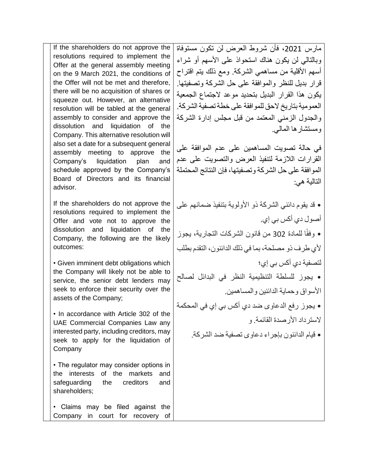If the shareholders do not approve the resolutions required to implement the Offer at the general assembly meeting on the 9 March 2021, the conditions of the Offer will not be met and therefore, there will be no acquisition of shares or squeeze out. However, an alternative resolution will be tabled at the general assembly to consider and approve the dissolution and liquidation of the Company. This alternative resolution will also set a date for a subsequent general assembly meeting to approve the Company's liquidation plan and schedule approved by the Company's Board of Directors and its financial advisor.

If the shareholders do not approve the resolutions required to implement the Offer and vote not to approve the dissolution and liquidation of the Company, the following are the likely outcomes:

• Given imminent debt obligations which the Company will likely not be able to service, the senior debt lenders may seek to enforce their security over the assets of the Company;

• In accordance with Article 302 of the UAE Commercial Companies Law any interested party, including creditors, may seek to apply for the liquidation of Company

• The regulator may consider options in the interests of the markets and safeguarding the creditors and shareholders;

• Claims may be filed against the Company in court for recovery of

مارس ،2021 فأن شروط العرض لن تكون مستوفاة وبالتالي لن يكون هناك استحواذ على الأسهم أو شراء أسهم الأقلية من مساهمي الشركة. ومع ذلك يتم اقتراح قرار بديل للنظر والموافقة على حل الشركة وتصفيتها. يكون هذا القرار البديل بتحديد موعد الجتماع الجمعية العمو مية بتاريخ لاحق للمو افقة على خطة تصفية الشركة. والجدول الزمني المعتمد من قبل مجلس إدارة الشركة ومستشارها المالي.

في حالة تصويت المساهمين على عدم الموافقة على القرارات الالزمة لتنفيذ العرض والتصويت على عدم الموافقة على حل الشركة وتصفيتها، فإن النتائج المحتملة التالية هي:

• قد يقوم دائني الشركة ذو األولوية بتنفيذ ضمانهم على أصول دي أكس بي إي. ا للمادة 302 من قانون الشركات التجارية، يجوز • وفق ألي طرف ذو مصلحة، بما في ذلك الدائنون، التقدم بطلب لتصفية دي أكس بي إي؛ • يجوز للسلطة التنظيمية النظر في البدائل لصالح األسواق وحماية الدائنين والمساهمين.

• يجوز رفع الدعاوى ضد دي أكس بي إي في المحكمة لاستر داد الأر صدة القائمة. و

• قيام الدائنون بإجراء دعاوى تصفية ضد الشركة.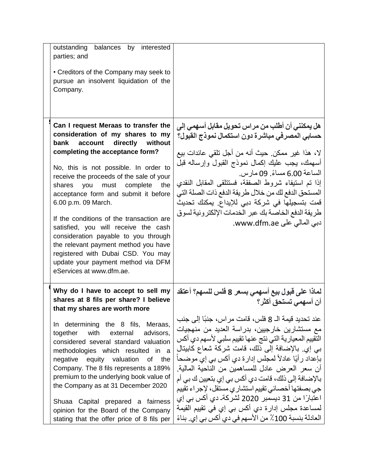| outstanding<br>balances by interested<br>parties; and                                                                                                                                                                                                                                                                                                                                                                                                                                                                                                                                                                       |                                                                                                                                                                                                                                                                                                                                                                                                                                                                                                                                                                                                            |
|-----------------------------------------------------------------------------------------------------------------------------------------------------------------------------------------------------------------------------------------------------------------------------------------------------------------------------------------------------------------------------------------------------------------------------------------------------------------------------------------------------------------------------------------------------------------------------------------------------------------------------|------------------------------------------------------------------------------------------------------------------------------------------------------------------------------------------------------------------------------------------------------------------------------------------------------------------------------------------------------------------------------------------------------------------------------------------------------------------------------------------------------------------------------------------------------------------------------------------------------------|
| • Creditors of the Company may seek to<br>pursue an insolvent liquidation of the<br>Company.                                                                                                                                                                                                                                                                                                                                                                                                                                                                                                                                |                                                                                                                                                                                                                                                                                                                                                                                                                                                                                                                                                                                                            |
| Can I request Meraas to transfer the<br>consideration of my shares to my<br>directly without<br>bank<br>account<br>completing the acceptance form?<br>No, this is not possible. In order to<br>receive the proceeds of the sale of your<br>shares<br>complete the<br>you<br>must<br>acceptance form and submit it before<br>6.00 p.m. 09 March.<br>If the conditions of the transaction are<br>satisfied, you will receive the cash<br>consideration payable to you through<br>the relevant payment method you have<br>registered with Dubai CSD. You may<br>update your payment method via DFM<br>eServices at www.dfm.ae. | هل يمكنني أن أطلب من مراس تحويل مقابل أسهمي إلى<br>حسابي المصرفي مباشرة دون استكمال نموذج القبول؟<br>لا، هذا غير ممكن. حيث أنه من أجل تلقى عائدات بيع<br>أسهمك، يجب عليك إكمال نموذج القبول وإرساله قبل<br>الساعة 6.00 مساءً. 09 مار س.<br>إذا تم استيفاء شروط الصفقة، فستتلقى المقابل النقدى<br>المستحق الدفع لك من خلال طريقة الدفع ذات الصلة التي<br>قمت بتسجيلها في شركة دبي للإيداع. يمكنك تحديث<br>طريقة الدفع الخاصة بك عبر الخدمات الإلكترونية لسوق<br>دبي المالي علي www.dfm.ae.                                                                                                                  |
| Why do I have to accept to sell my<br>shares at 8 fils per share? I believe<br>that my shares are worth more                                                                                                                                                                                                                                                                                                                                                                                                                                                                                                                | لماذا على قبول بيع أسهمي بسعر 8 فلس للسهم؟ أعتقد<br>أن أسهمي تستحق أكثر؟                                                                                                                                                                                                                                                                                                                                                                                                                                                                                                                                   |
| In determining the 8 fils, Meraas,<br>with external advisors,<br>together<br>considered several standard valuation<br>methodologies which resulted in a<br>negative equity valuation<br>of the<br>Company. The 8 fils represents a 189%<br>premium to the underlying book value of<br>the Company as at 31 December 2020<br>Shuaa Capital prepared a fairness<br>opinion for the Board of the Company<br>stating that the offer price of 8 fils per                                                                                                                                                                         | عند تحديد قيمة الــ 8 فلس، قامت مر اس، جنبًا إلى جنب<br>مع مستشارين خارجيين، بدراسة العديد من منهجيات<br>التقييم المعيارية التي نتج عنها تقييم سلبي لأسهم دي أكس<br>بي إي بالإضافة إلى ذلك، قامت شركة شعاع كابيتال<br>بإعداد ر أيًا عادلاً لمجلس إدارة دي أكس بي إي موضحا<br>أن سعر العرض عادل للمساهمين من الناحية المالية.<br>بالإضـافة إلـى ذلك، قامت دى أكس بـى إي بنعيين ك بـي أم<br>جي بصفتها أخصـائي تقييم استشار ي مستقل، لإجراء تقييم<br>اعتبارًا من 31 ديسمبر 2020 لشركةـ دي أكس بي إي<br>لمساعدة مجلس إدارة دي أكس بي إي في تقييم القيمة<br>العادلة بنسبة 100٪ من الأسهم في دي أكس بي إي. بناءً |